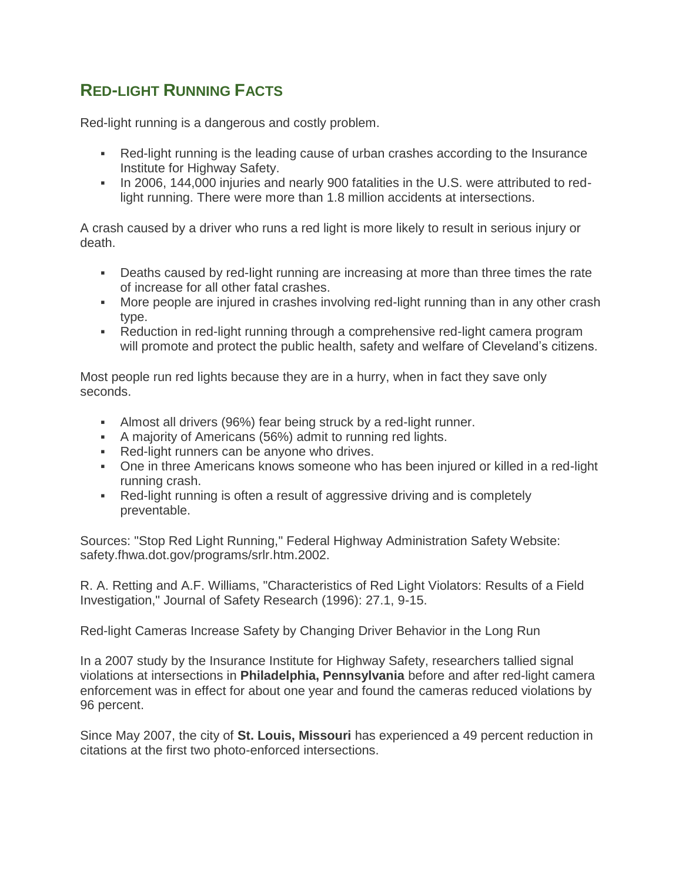## **RED-LIGHT RUNNING FACTS**

Red-light running is a dangerous and costly problem.

- Red-light running is the leading cause of urban crashes according to the Insurance Institute for Highway Safety.
- In 2006, 144,000 injuries and nearly 900 fatalities in the U.S. were attributed to redlight running. There were more than 1.8 million accidents at intersections.

A crash caused by a driver who runs a red light is more likely to result in serious injury or death.

- Deaths caused by red-light running are increasing at more than three times the rate of increase for all other fatal crashes.
- More people are injured in crashes involving red-light running than in any other crash type.
- Reduction in red-light running through a comprehensive red-light camera program will promote and protect the public health, safety and welfare of Cleveland's citizens.

Most people run red lights because they are in a hurry, when in fact they save only seconds.

- Almost all drivers (96%) fear being struck by a red-light runner.
- A majority of Americans (56%) admit to running red lights.
- Red-light runners can be anyone who drives.
- One in three Americans knows someone who has been injured or killed in a red-light running crash.
- Red-light running is often a result of aggressive driving and is completely preventable.

Sources: "Stop Red Light Running," Federal Highway Administration Safety Website: safety.fhwa.dot.gov/programs/srlr.htm.2002.

R. A. Retting and A.F. Williams, "Characteristics of Red Light Violators: Results of a Field Investigation," Journal of Safety Research (1996): 27.1, 9-15.

Red-light Cameras Increase Safety by Changing Driver Behavior in the Long Run

In a 2007 study by the Insurance Institute for Highway Safety, researchers tallied signal violations at intersections in **Philadelphia, Pennsylvania** before and after red-light camera enforcement was in effect for about one year and found the cameras reduced violations by 96 percent.

Since May 2007, the city of **St. Louis, Missouri** has experienced a 49 percent reduction in citations at the first two photo-enforced intersections.